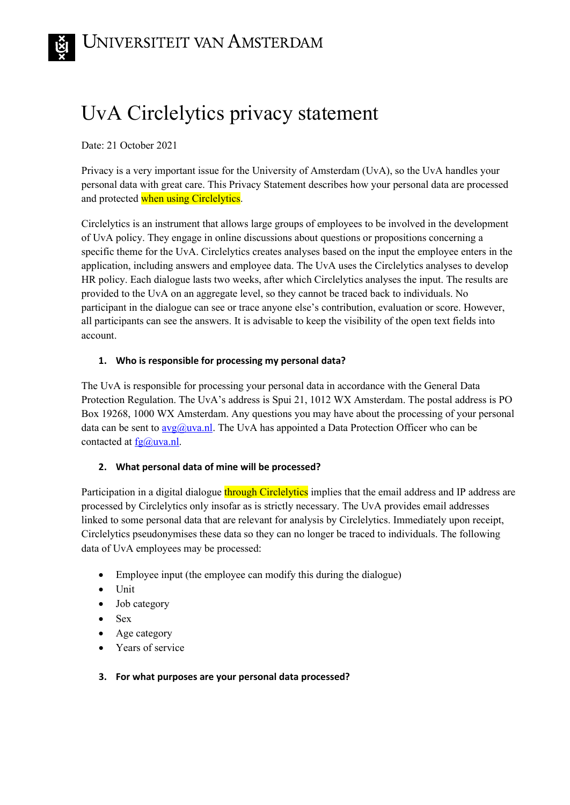# UvA Circlelytics privacy statement

Date: 21 October 2021

Privacy is a very important issue for the University of Amsterdam (UvA), so the UvA handles your personal data with great care. This Privacy Statement describes how your personal data are processed and protected when using Circlelytics.

Circlelytics is an instrument that allows large groups of employees to be involved in the development of UvA policy. They engage in online discussions about questions or propositions concerning a specific theme for the UvA. Circlelytics creates analyses based on the input the employee enters in the application, including answers and employee data. The UvA uses the Circlelytics analyses to develop HR policy. Each dialogue lasts two weeks, after which Circlelytics analyses the input. The results are provided to the UvA on an aggregate level, so they cannot be traced back to individuals. No participant in the dialogue can see or trace anyone else's contribution, evaluation or score. However, all participants can see the answers. It is advisable to keep the visibility of the open text fields into account.

## **1. Who is responsible for processing my personal data?**

The UvA is responsible for processing your personal data in accordance with the General Data Protection Regulation. The UvA's address is Spui 21, 1012 WX Amsterdam. The postal address is PO Box 19268, 1000 WX Amsterdam. Any questions you may have about the processing of your personal data can be sent to  $avg(\hat{a})$  uva.nl. The UvA has appointed a Data Protection Officer who can be contacted at  $\underline{fg}(\overline{a}$  uva.nl.

### **2. What personal data of mine will be processed?**

Participation in a digital dialogue through Circlelytics implies that the email address and IP address are processed by Circlelytics only insofar as is strictly necessary. The UvA provides email addresses linked to some personal data that are relevant for analysis by Circlelytics. Immediately upon receipt, Circlelytics pseudonymises these data so they can no longer be traced to individuals. The following data of UvA employees may be processed:

- Employee input (the employee can modify this during the dialogue)
- Unit
- Job category
- Sex
- Age category
- Years of service

### **3. For what purposes are your personal data processed?**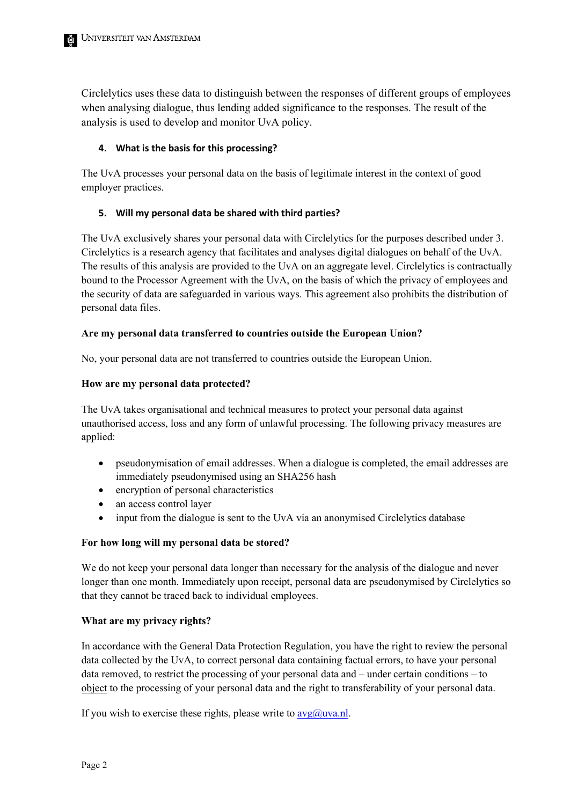Circlelytics uses these data to distinguish between the responses of different groups of employees when analysing dialogue, thus lending added significance to the responses. The result of the analysis is used to develop and monitor UvA policy.

### **4. What is the basis for this processing?**

The UvA processes your personal data on the basis of legitimate interest in the context of good employer practices.

### **5. Will my personal data be shared with third parties?**

The UvA exclusively shares your personal data with Circlelytics for the purposes described under 3. Circlelytics is a research agency that facilitates and analyses digital dialogues on behalf of the UvA. The results of this analysis are provided to the UvA on an aggregate level. Circlelytics is contractually bound to the Processor Agreement with the UvA, on the basis of which the privacy of employees and the security of data are safeguarded in various ways. This agreement also prohibits the distribution of personal data files.

### **Are my personal data transferred to countries outside the European Union?**

No, your personal data are not transferred to countries outside the European Union.

### **How are my personal data protected?**

The UvA takes organisational and technical measures to protect your personal data against unauthorised access, loss and any form of unlawful processing. The following privacy measures are applied:

- pseudonymisation of email addresses. When a dialogue is completed, the email addresses are immediately pseudonymised using an SHA256 hash
- encryption of personal characteristics
- an access control layer
- input from the dialogue is sent to the UvA via an anonymised Circlelytics database

### **For how long will my personal data be stored?**

We do not keep your personal data longer than necessary for the analysis of the dialogue and never longer than one month. Immediately upon receipt, personal data are pseudonymised by Circlelytics so that they cannot be traced back to individual employees.

### **What are my privacy rights?**

In accordance with the General Data Protection Regulation, you have the right to review the personal data collected by the UvA, to correct personal data containing factual errors, to have your personal data removed, to restrict the processing of your personal data and – under certain conditions – to object to the processing of your personal data and the right to transferability of your personal data.

If you wish to exercise these rights, please write to  $\frac{avg(a)wa.n!}{}$ .